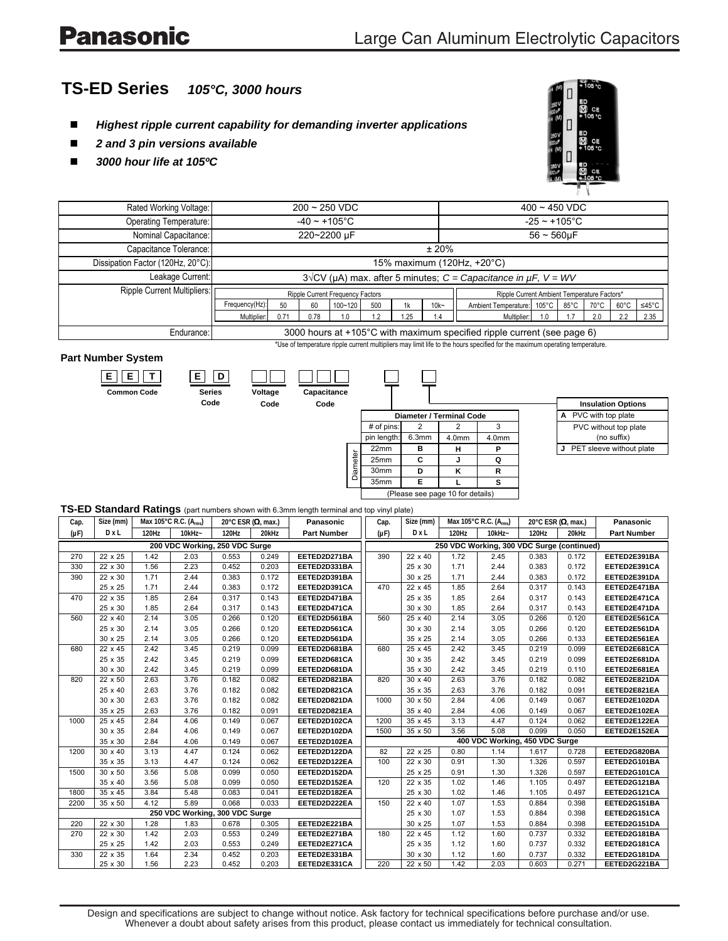# **Panasonic**

## **TS-ED Series** *105°C, 3000 hours*

- *Highest ripple current capability for demanding inverter applications*
- *2 and 3 pin versions available*
- *3000 hour life at 105ºC*



| Rated Working Voltage:            | $200 - 250$ VDC                                                                                                             |  |  |  |  |         |                            | $400 - 450$ VDC    |      |      |                |       |  |
|-----------------------------------|-----------------------------------------------------------------------------------------------------------------------------|--|--|--|--|---------|----------------------------|--------------------|------|------|----------------|-------|--|
| <b>Operating Temperature:</b>     | $-40 \sim +105$ °C                                                                                                          |  |  |  |  |         |                            | $-25 \sim +105$ °C |      |      |                |       |  |
| Nominal Capacitance:              | 220~2200 µF                                                                                                                 |  |  |  |  |         |                            | $56 - 560 \mu F$   |      |      |                |       |  |
| Capacitance Tolerance:            | ± 20%                                                                                                                       |  |  |  |  |         |                            |                    |      |      |                |       |  |
| Dissipation Factor (120Hz, 20°C): | 15% maximum (120Hz, +20°C)                                                                                                  |  |  |  |  |         |                            |                    |      |      |                |       |  |
| Leakage Current:                  | $3\sqrt{CV}$ (µA) max. after 5 minutes; C = Capacitance in $\mu$ F, V = WV                                                  |  |  |  |  |         |                            |                    |      |      |                |       |  |
| Ripple Current Multipliers:       | Ripple Current Ambient Temperature Factors*<br>Ripple Current Frequency Factors                                             |  |  |  |  |         |                            |                    |      |      |                |       |  |
|                                   | Frequency(Hz):<br>50<br>$100 - 120$<br>500<br>1k<br>-60                                                                     |  |  |  |  | $10k -$ | Ambient Temperature: 105°C |                    | 85°C | 70°C | $60^{\circ}$ C | ≤45°C |  |
|                                   | 0.71<br>.25<br>Multiplier:<br>0.78<br>1.2<br>1.0                                                                            |  |  |  |  | 1.4     | Multiplier:                | 1.0                |      | 2.0  | 2.2            | 2.35  |  |
| Endurance:                        | 3000 hours at +105°C with maximum specified ripple current (see page 6)                                                     |  |  |  |  |         |                            |                    |      |      |                |       |  |
|                                   | *Use of temperature ripple current multipliers may limit life to the hours specified for the maximum operating temperature. |  |  |  |  |         |                            |                    |      |      |                |       |  |

#### **Part Number System**

| <b>Common Code</b> |  |
|--------------------|--|
|                    |  |
|                    |  |

| <b>Series</b> | Voltage |
|---------------|---------|
|               |         |

**Code**

| Voltage | Capacitance |  |  |  |  |  |
|---------|-------------|--|--|--|--|--|
| Code    | Code        |  |  |  |  |  |

| nce |  |  |
|-----|--|--|

|          |                  |                                  |                   |                   |  | <b>Insulation Option</b> |
|----------|------------------|----------------------------------|-------------------|-------------------|--|--------------------------|
|          |                  | <b>Diameter / Terminal Code</b>  |                   |                   |  | A PVC with top plate     |
|          | # of pins:       |                                  |                   |                   |  | PVC without top pl       |
|          | pin length:      | 6.3mm                            | 4.0 <sub>mm</sub> | 4.0 <sub>mm</sub> |  | (no suffix)              |
|          | 22 <sub>mm</sub> | в                                | н                 |                   |  | J PET sleeve without     |
| Diameter | 25mm             | C                                |                   |                   |  |                          |
|          | 30 <sub>mm</sub> | D                                | κ                 | R                 |  |                          |
|          | 35mm             | F                                |                   |                   |  |                          |
|          |                  | (Please see page 10 for details) |                   |                   |  |                          |

|   | <b>Insulation Options</b> |  |
|---|---------------------------|--|
| А | PVC with top plate        |  |
|   | PVC without top plate     |  |
|   | (no suffix)               |  |
| J | PET sleeve without plate  |  |

#### **TS-ED Standard Ratings** (part numbers shown with 6.3mm length terminal and top vinyl plate)

| Cap.      | Size (mm) |       | Max 105°C R.C. (A <sub>rms</sub> ) |       | 20°C ESR (Ω, max.) | Panasonic          | Cap.                                       | Size (mm) |       | Max 105°C R.C. (A <sub>rms</sub> ) |       | 20°C ESR (Ω, max.) | Panasonic          |  |
|-----------|-----------|-------|------------------------------------|-------|--------------------|--------------------|--------------------------------------------|-----------|-------|------------------------------------|-------|--------------------|--------------------|--|
| $(\mu F)$ | DxL       | 120Hz | $10kHz -$                          | 120Hz | 20kHz              | <b>Part Number</b> | $(\mu F)$                                  | DxL       | 120Hz | $10kHz -$                          | 120Hz | 20kHz              | <b>Part Number</b> |  |
|           |           |       | 200 VDC Working, 250 VDC Surge     |       |                    |                    | 250 VDC Working, 300 VDC Surge (continued) |           |       |                                    |       |                    |                    |  |
| 270       | 22 x 25   | 1.42  | 2.03                               | 0.553 | 0.249              | EETED2D271BA       | 390                                        | 22 x 40   | 1.72  | 2.45                               | 0.383 | 0.172              | EETED2E391BA       |  |
| 330       | 22 x 30   | 1.56  | 2.23                               | 0.452 | 0.203              | EETED2D331BA       |                                            | 25 x 30   | 1.71  | 2.44                               | 0.383 | 0.172              | EETED2E391CA       |  |
| 390       | 22 x 30   | 1.71  | 2.44                               | 0.383 | 0.172              | EETED2D391BA       |                                            | 30 x 25   | 1.71  | 2.44                               | 0.383 | 0.172              | EETED2E391DA       |  |
|           | 25 x 25   | 1.71  | 2.44                               | 0.383 | 0.172              | EETED2D391CA       | 470                                        | 22 x 45   | 1.85  | 2.64                               | 0.317 | 0.143              | EETED2E471BA       |  |
| 470       | 22 x 35   | 1.85  | 2.64                               | 0.317 | 0.143              | EETED2D471BA       |                                            | 25 x 35   | 1.85  | 2.64                               | 0.317 | 0.143              | EETED2E471CA       |  |
|           | 25 x 30   | 1.85  | 2.64                               | 0.317 | 0.143              | EETED2D471CA       |                                            | 30 x 30   | 1.85  | 2.64                               | 0.317 | 0.143              | EETED2E471DA       |  |
| 560       | 22 x 40   | 2.14  | 3.05                               | 0.266 | 0.120              | EETED2D561BA       | 560                                        | 25 x 40   | 2.14  | 3.05                               | 0.266 | 0.120              | EETED2E561CA       |  |
|           | 25 x 30   | 2.14  | 3.05                               | 0.266 | 0.120              | EETED2D561CA       |                                            | 30 x 30   | 2.14  | 3.05                               | 0.266 | 0.120              | EETED2E561DA       |  |
|           | 30 x 25   | 2.14  | 3.05                               | 0.266 | 0.120              | EETED2D561DA       |                                            | 35 x 25   | 2.14  | 3.05                               | 0.266 | 0.133              | EETED2E561EA       |  |
| 680       | 22 x 45   | 2.42  | 3.45                               | 0.219 | 0.099              | EETED2D681BA       | 680                                        | 25 x 45   | 2.42  | 3.45                               | 0.219 | 0.099              | EETED2E681CA       |  |
|           | 25 x 35   | 2.42  | 3.45                               | 0.219 | 0.099              | EETED2D681CA       |                                            | 30 x 35   | 2.42  | 3.45                               | 0.219 | 0.099              | EETED2E681DA       |  |
|           | 30 x 30   | 2.42  | 3.45                               | 0.219 | 0.099              | EETED2D681DA       |                                            | 35 x 30   | 2.42  | 3.45                               | 0.219 | 0.110              | EETED2E681EA       |  |
| 820       | 22 x 50   | 2.63  | 3.76                               | 0.182 | 0.082              | EETED2D821BA       | 820                                        | 30 x 40   | 2.63  | 3.76                               | 0.182 | 0.082              | EETED2E821DA       |  |
|           | 25 x 40   | 2.63  | 3.76                               | 0.182 | 0.082              | EETED2D821CA       |                                            | 35 x 35   | 2.63  | 3.76                               | 0.182 | 0.091              | EETED2E821EA       |  |
|           | 30 x 30   | 2.63  | 3.76                               | 0.182 | 0.082              | EETED2D821DA       | 1000                                       | 30 x 50   | 2.84  | 4.06                               | 0.149 | 0.067              | EETED2E102DA       |  |
|           | 35 x 25   | 2.63  | 3.76                               | 0.182 | 0.091              | EETED2D821EA       |                                            | 35 x 40   | 2.84  | 4.06                               | 0.149 | 0.067              | EETED2E102EA       |  |
| 1000      | 25 x 45   | 2.84  | 4.06                               | 0.149 | 0.067              | EETED2D102CA       | 1200                                       | 35 x 45   | 3.13  | 4.47                               | 0.124 | 0.062              | EETED2E122EA       |  |
|           | 30 x 35   | 2.84  | 4.06                               | 0.149 | 0.067              | EETED2D102DA       | 1500                                       | 35 x 50   | 3.56  | 5.08                               | 0.099 | 0.050              | EETED2E152EA       |  |
|           | 35 x 30   | 2.84  | 4.06                               | 0.149 | 0.067              | EETED2D102EA       |                                            |           |       | 400 VDC Working, 450 VDC Surge     |       |                    |                    |  |
| 1200      | 30 x 40   | 3.13  | 4.47                               | 0.124 | 0.062              | EETED2D122DA       | 82                                         | 22 x 25   | 0.80  | 1.14                               | 1.617 | 0.728              | EETED2G820BA       |  |
|           | 35 x 35   | 3.13  | 4.47                               | 0.124 | 0.062              | EETED2D122EA       | 100                                        | 22 x 30   | 0.91  | 1.30                               | 1.326 | 0.597              | EETED2G101BA       |  |
| 1500      | 30 x 50   | 3.56  | 5.08                               | 0.099 | 0.050              | EETED2D152DA       |                                            | 25 x 25   | 0.91  | 1.30                               | 1.326 | 0.597              | EETED2G101CA       |  |
|           | 35 x 40   | 3.56  | 5.08                               | 0.099 | 0.050              | EETED2D152EA       | 120                                        | 22 x 35   | 1.02  | 1.46                               | 1.105 | 0.497              | EETED2G121BA       |  |
| 1800      | 35 x 45   | 3.84  | 5.48                               | 0.083 | 0.041              | EETED2D182EA       |                                            | 25 x 30   | 1.02  | 1.46                               | 1.105 | 0.497              | EETED2G121CA       |  |
| 2200      | 35 x 50   | 4.12  | 5.89                               | 0.068 | 0.033              | EETED2D222EA       | 150                                        | 22 x 40   | 1.07  | 1.53                               | 0.884 | 0.398              | EETED2G151BA       |  |
|           |           |       | 250 VDC Working, 300 VDC Surge     |       |                    |                    |                                            | 25 x 30   | 1.07  | 1.53                               | 0.884 | 0.398              | EETED2G151CA       |  |
| 220       | 22 x 30   | 1.28  | 1.83                               | 0.678 | 0.305              | EETED2E221BA       |                                            | 30 x 25   | 1.07  | 1.53                               | 0.884 | 0.398              | EETED2G151DA       |  |
| 270       | 22 x 30   | 1.42  | 2.03                               | 0.553 | 0.249              | EETED2E271BA       | 180                                        | 22 x 45   | 1.12  | 1.60                               | 0.737 | 0.332              | EETED2G181BA       |  |
|           | 25 x 25   | 1.42  | 2.03                               | 0.553 | 0.249              | EETED2E271CA       |                                            | 25 x 35   | 1.12  | 1.60                               | 0.737 | 0.332              | EETED2G181CA       |  |
| 330       | 22 x 35   | 1.64  | 2.34                               | 0.452 | 0.203              | EETED2E331BA       |                                            | 30 x 30   | 1.12  | 1.60                               | 0.737 | 0.332              | EETED2G181DA       |  |
|           | 25 x 30   | 1.56  | 2.23                               | 0.452 | 0.203              | EETED2E331CA       | 220                                        | 22 x 50   | 1.42  | 2.03                               | 0.603 | 0.271              | EETED2G221BA       |  |